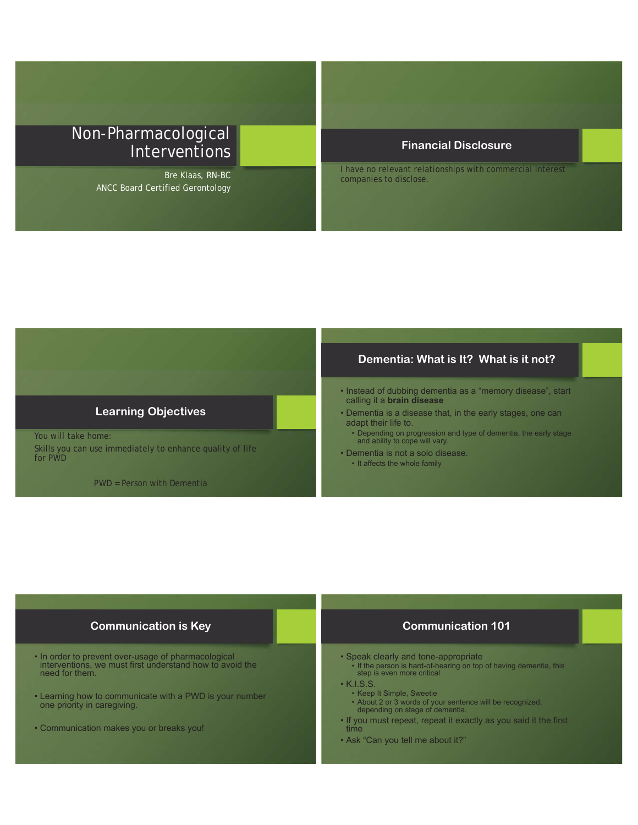# Non-Pharmacological Interventions

Bre Klaas, RN-BC ANCC Board Certified Gerontology

### **Financial Disclosure**

I have no relevant relationships with commercial interest companies to disclose.

#### **Learning Objectives**

You will take home: Skills you can use immediately to enhance quality of life for PWD

PWD = Person with Dementia

#### **Dementia: What is It? What is it not?**

- Instead of dubbing dementia as a "memory disease", start calling it a **brain disease**
- . Dementia is a disease that, in the early stages, one can adapt their life to.
	- $\bullet$  Depending on progression and type of dementia, the early stage and ability to cope will vary.
- Dementia is not a solo disease.
	- It affects the whole family

#### **Communication is Key**

- In order to prevent over-usage of pharmacological interventions, we must first understand how to avoid the need for them.
- Learning how to communicate with a PWD is your number Dearning now to commany<br>one priority in caregiving.
- Communication makes you or breaks you!

# **Communication 101**

- Speak clearly and tone-appropriate
- If the person is hard-of-hearing on top of having dementia, this<br>step is even more critical
- $\cdot$  K.I.S.S.
	- . Keep It Simple, Sweetie
	- About 2 or 3 words of your sentence will be recognized,<br>depending on stage of dementia.
- . If you must repeat, repeat it exactly as you said it the first time
- Ask "Can you tell me about it?"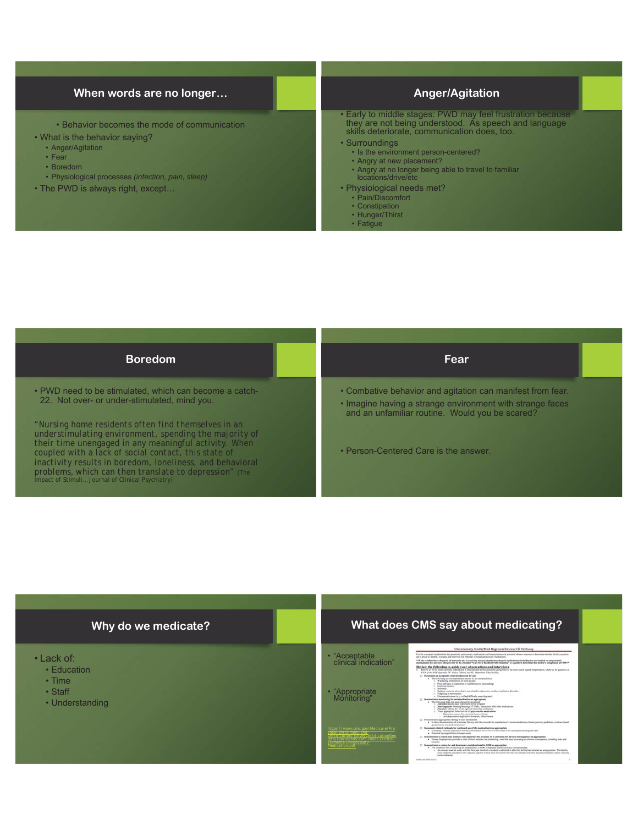#### **When words are no longer…**

- Behavior becomes the mode of communication
- What is the behavior saying?
	- Anger/Agitation
	- $\cdot$  Fear
	- $\cdot$  Boredom
	- Physiological processes (infection, pain, sleep)
- The PWD is always right, except...

# **Anger/Agitation**

- Early to middle stages: PWD may feel frustration because they are not being understood. As speech and language skills deteriorate, communication does, too.
- Surroundings
	- $\cdot$  Is the environment person-centered?
	- . Angry at new placement?
	- Angry at no longer being able to travel to familiar<br>locations/drive/etc
- Physiological needs met?
- Pain/Discomfort
- Constipation
- Hunger/Thirst • Fatigue

| <b>Fear</b>                                                                                                                                                                |
|----------------------------------------------------------------------------------------------------------------------------------------------------------------------------|
| • Combative behavior and agitation can manifest from fear.<br>• Imagine having a strange environment with strange faces<br>and an unfamiliar routine. Would you be scared? |
| • Person-Centered Care is the answer.                                                                                                                                      |
|                                                                                                                                                                            |

### **Why do we medicate?**

- Lack of:
	- Education
	- $\cdot$  Time
	- Staff
	- Understanding

#### **What does CMS say about medicating?**

Unnecessary Meds/Med Regimen Review CE Pathway • "Acceptable<br>"clinical indication" tiefly winners<br>name for more nary medicalism an<br>nisal or school annum \*\* If the residuer has a diagnosis of demonstrated in receiving any prophopharmacological insultantent declaring has not imples to antiproduction<br>methods and the metasse should refer to the checklist \*Cars for a Resident w .<br>Libérarde p • "Appropriate<br>Monitoring"  $\alpha$  . Denotes as a graph algorithm is the diffusion of the<br>property extension of the diffusion property in the state of the diffusion property<br>and the diffusion property and the diffusion of the diffusion of the<br>state of reaction?<br>complement new of the medicalismics) as appropriate<br>ation for the compositions was of two or stand stable in the name pharmacological class *https://www.cms.gov/Medicare/Pro vider-Enrollment-and-Certification/SurveyCertificationGen* \* . Including a clienced inglemation for the conventions are of two or rent inside in the same pharmacelegised class<br>\* . Presented a sumport that members and additiones the presence of or powerful first subsets comparement *Info/Downloads/CMS-20082-Critical-* $\begin{array}{rcl} \textbf{Number of the model} \\ \textbf{h} \textbf{unconduction is a system for and data} \\ \textbf{a} & \textbf{For a random value in } \\ & \textbf{a} & \textbf{the average time of the sum} \\ & \textbf{a} & \textbf{anormal value in } \\ & \textbf{anormal value in } \\ \textbf{anormal value in } \\ \textbf{a} & \textbf{anormal value in } \\ \end{array}$ *Elements-Unnecessary-*.<br>A decoments considerations for GDR as appropriate.<br>As musics as autoprobate, a GDR is required, select climatly commendiated; has intend as autoprobate. The facility<br>temper in the against quarant with at least one count *Medication.pdf*